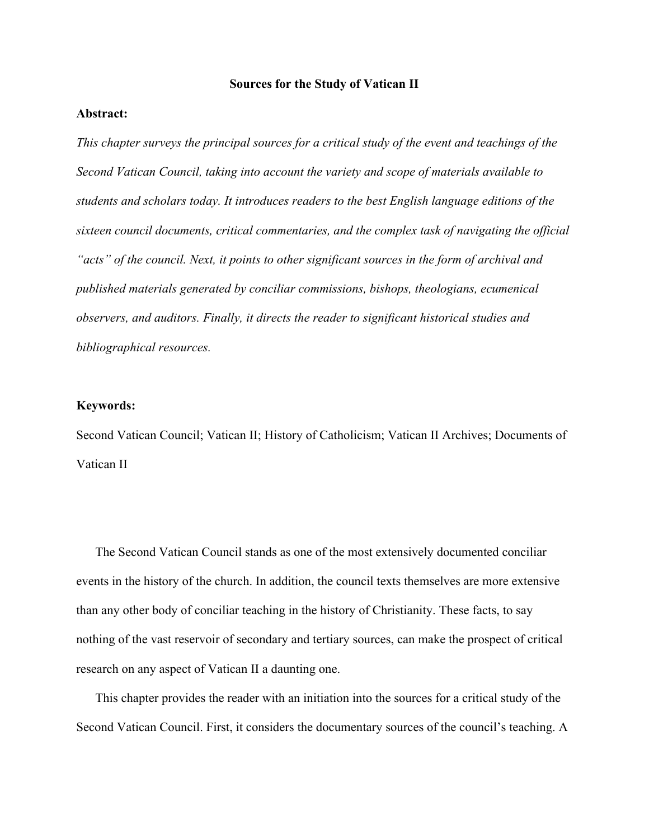### **Sources for the Study of Vatican II**

# **Abstract:**

*This chapter surveys the principal sources for a critical study of the event and teachings of the Second Vatican Council, taking into account the variety and scope of materials available to students and scholars today. It introduces readers to the best English language editions of the sixteen council documents, critical commentaries, and the complex task of navigating the official "acts" of the council. Next, it points to other significant sources in the form of archival and published materials generated by conciliar commissions, bishops, theologians, ecumenical observers, and auditors. Finally, it directs the reader to significant historical studies and bibliographical resources.*

## **Keywords:**

Second Vatican Council; Vatican II; History of Catholicism; Vatican II Archives; Documents of Vatican II

The Second Vatican Council stands as one of the most extensively documented conciliar events in the history of the church. In addition, the council texts themselves are more extensive than any other body of conciliar teaching in the history of Christianity. These facts, to say nothing of the vast reservoir of secondary and tertiary sources, can make the prospect of critical research on any aspect of Vatican II a daunting one.

This chapter provides the reader with an initiation into the sources for a critical study of the Second Vatican Council. First, it considers the documentary sources of the council's teaching. A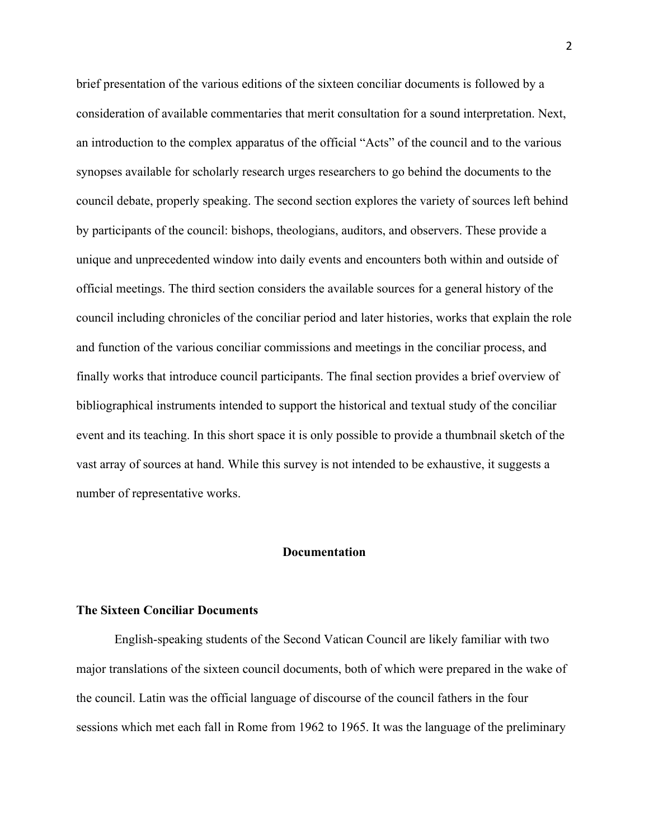brief presentation of the various editions of the sixteen conciliar documents is followed by a consideration of available commentaries that merit consultation for a sound interpretation. Next, an introduction to the complex apparatus of the official "Acts" of the council and to the various synopses available for scholarly research urges researchers to go behind the documents to the council debate, properly speaking. The second section explores the variety of sources left behind by participants of the council: bishops, theologians, auditors, and observers. These provide a unique and unprecedented window into daily events and encounters both within and outside of official meetings. The third section considers the available sources for a general history of the council including chronicles of the conciliar period and later histories, works that explain the role and function of the various conciliar commissions and meetings in the conciliar process, and finally works that introduce council participants. The final section provides a brief overview of bibliographical instruments intended to support the historical and textual study of the conciliar event and its teaching. In this short space it is only possible to provide a thumbnail sketch of the vast array of sources at hand. While this survey is not intended to be exhaustive, it suggests a number of representative works.

### **Documentation**

# **The Sixteen Conciliar Documents**

English-speaking students of the Second Vatican Council are likely familiar with two major translations of the sixteen council documents, both of which were prepared in the wake of the council. Latin was the official language of discourse of the council fathers in the four sessions which met each fall in Rome from 1962 to 1965. It was the language of the preliminary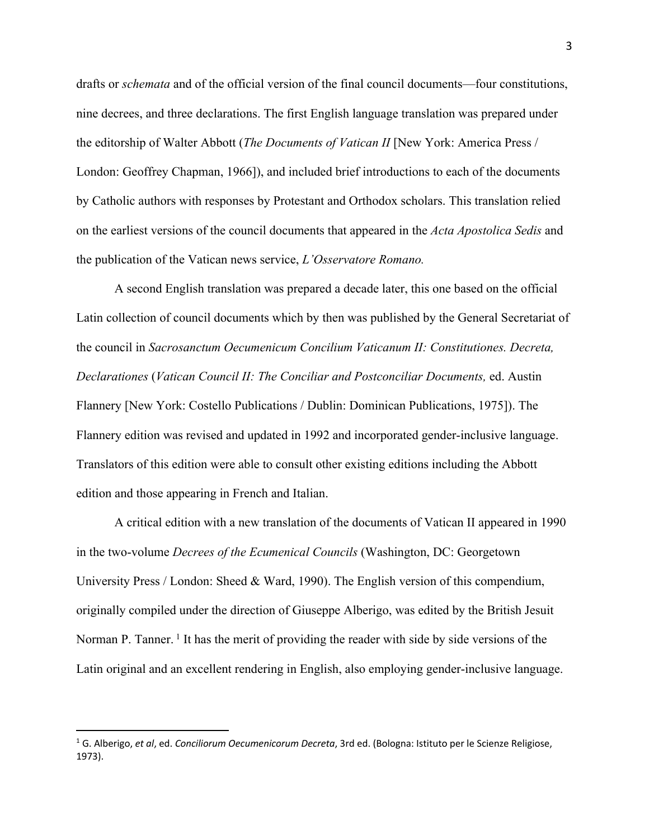drafts or *schemata* and of the official version of the final council documents—four constitutions, nine decrees, and three declarations. The first English language translation was prepared under the editorship of Walter Abbott (*The Documents of Vatican II* [New York: America Press / London: Geoffrey Chapman, 1966]), and included brief introductions to each of the documents by Catholic authors with responses by Protestant and Orthodox scholars. This translation relied on the earliest versions of the council documents that appeared in the *Acta Apostolica Sedis* and the publication of the Vatican news service, *L'Osservatore Romano.* 

A second English translation was prepared a decade later, this one based on the official Latin collection of council documents which by then was published by the General Secretariat of the council in *Sacrosanctum Oecumenicum Concilium Vaticanum II: Constitutiones. Decreta, Declarationes* (*Vatican Council II: The Conciliar and Postconciliar Documents,* ed. Austin Flannery [New York: Costello Publications / Dublin: Dominican Publications, 1975]). The Flannery edition was revised and updated in 1992 and incorporated gender-inclusive language. Translators of this edition were able to consult other existing editions including the Abbott edition and those appearing in French and Italian.

A critical edition with a new translation of the documents of Vatican II appeared in 1990 in the two-volume *Decrees of the Ecumenical Councils* (Washington, DC: Georgetown University Press / London: Sheed & Ward, 1990). The English version of this compendium, originally compiled under the direction of Giuseppe Alberigo, was edited by the British Jesuit Norman P. Tanner.<sup>1</sup> It has the merit of providing the reader with side by side versions of the Latin original and an excellent rendering in English, also employing gender-inclusive language.

<sup>1</sup> G. Alberigo, *et al*, ed. *Conciliorum Oecumenicorum Decreta*, 3rd ed. (Bologna: Istituto per le Scienze Religiose, 1973).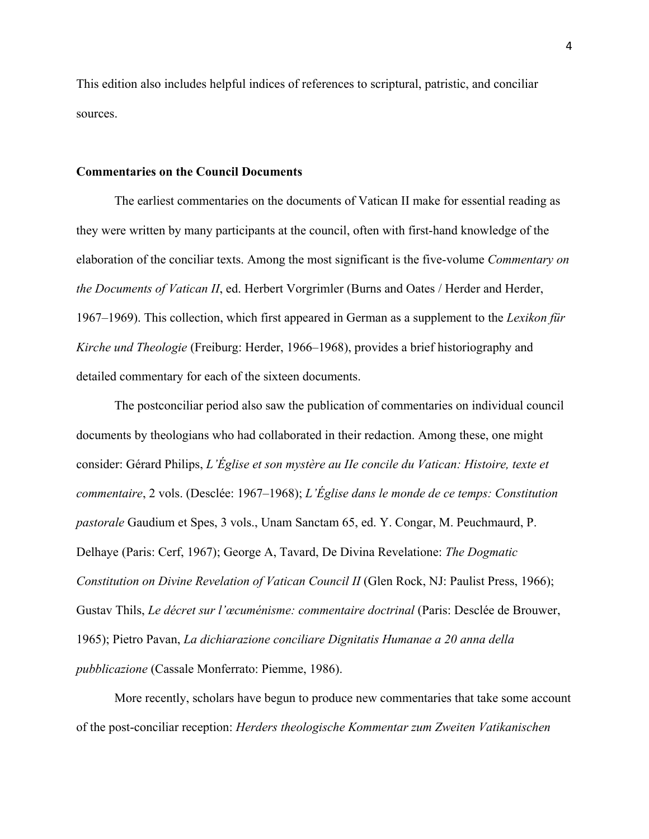This edition also includes helpful indices of references to scriptural, patristic, and conciliar sources.

### **Commentaries on the Council Documents**

The earliest commentaries on the documents of Vatican II make for essential reading as they were written by many participants at the council, often with first-hand knowledge of the elaboration of the conciliar texts. Among the most significant is the five-volume *Commentary on the Documents of Vatican II*, ed. Herbert Vorgrimler (Burns and Oates / Herder and Herder, 1967–1969). This collection, which first appeared in German as a supplement to the *Lexikon für Kirche und Theologie* (Freiburg: Herder, 1966–1968), provides a brief historiography and detailed commentary for each of the sixteen documents.

The postconciliar period also saw the publication of commentaries on individual council documents by theologians who had collaborated in their redaction. Among these, one might consider: Gérard Philips, *L'Église et son mystère au IIe concile du Vatican: Histoire, texte et commentaire*, 2 vols. (Desclée: 1967–1968); *L'Église dans le monde de ce temps: Constitution pastorale* Gaudium et Spes, 3 vols., Unam Sanctam 65, ed. Y. Congar, M. Peuchmaurd, P. Delhaye (Paris: Cerf, 1967); George A, Tavard, De Divina Revelatione: *The Dogmatic Constitution on Divine Revelation of Vatican Council II* (Glen Rock, NJ: Paulist Press, 1966); Gustav Thils, *Le décret sur l'œcuménisme: commentaire doctrinal* (Paris: Desclée de Brouwer, 1965); Pietro Pavan, *La dichiarazione conciliare Dignitatis Humanae a 20 anna della pubblicazione* (Cassale Monferrato: Piemme, 1986).

More recently, scholars have begun to produce new commentaries that take some account of the post-conciliar reception: *Herders theologische Kommentar zum Zweiten Vatikanischen*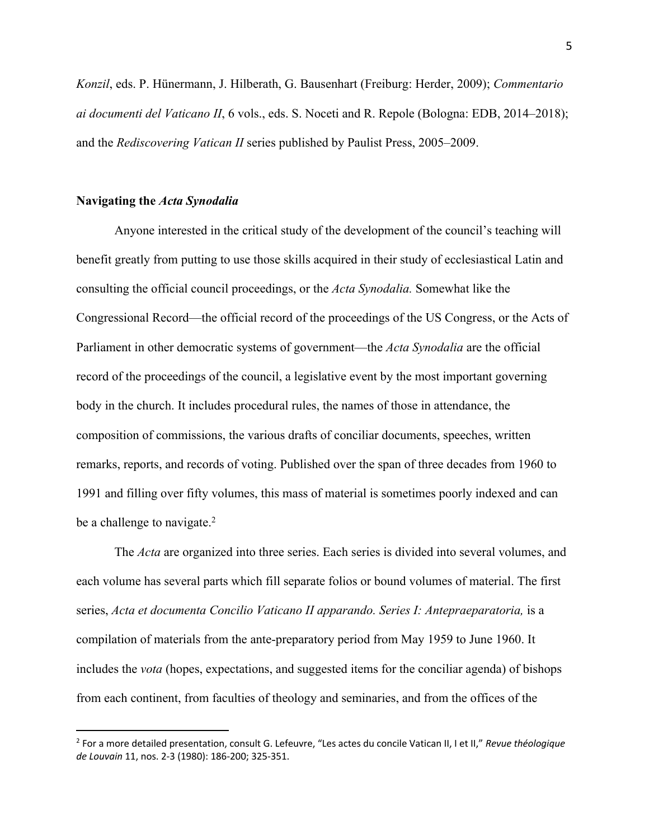*Konzil*, eds. P. Hünermann, J. Hilberath, G. Bausenhart (Freiburg: Herder, 2009); *Commentario ai documenti del Vaticano II*, 6 vols., eds. S. Noceti and R. Repole (Bologna: EDB, 2014–2018); and the *Rediscovering Vatican II* series published by Paulist Press, 2005–2009.

#### **Navigating the** *Acta Synodalia*

Anyone interested in the critical study of the development of the council's teaching will benefit greatly from putting to use those skills acquired in their study of ecclesiastical Latin and consulting the official council proceedings, or the *Acta Synodalia.* Somewhat like the Congressional Record—the official record of the proceedings of the US Congress, or the Acts of Parliament in other democratic systems of government—the *Acta Synodalia* are the official record of the proceedings of the council, a legislative event by the most important governing body in the church. It includes procedural rules, the names of those in attendance, the composition of commissions, the various drafts of conciliar documents, speeches, written remarks, reports, and records of voting. Published over the span of three decades from 1960 to 1991 and filling over fifty volumes, this mass of material is sometimes poorly indexed and can be a challenge to navigate. $<sup>2</sup>$ </sup>

The *Acta* are organized into three series. Each series is divided into several volumes, and each volume has several parts which fill separate folios or bound volumes of material. The first series, *Acta et documenta Concilio Vaticano II apparando. Series I: Antepraeparatoria,* is a compilation of materials from the ante-preparatory period from May 1959 to June 1960. It includes the *vota* (hopes, expectations, and suggested items for the conciliar agenda) of bishops from each continent, from faculties of theology and seminaries, and from the offices of the

<sup>2</sup> For a more detailed presentation, consult G. Lefeuvre, "Les actes du concile Vatican II, I et II," *Revue théologique de Louvain* 11, nos. 2-3 (1980): 186-200; 325-351.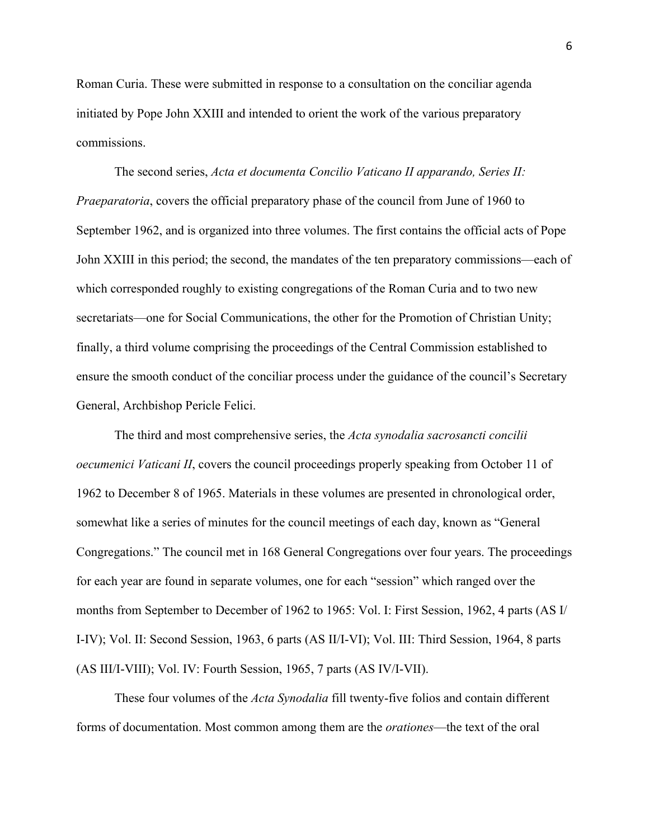Roman Curia. These were submitted in response to a consultation on the conciliar agenda initiated by Pope John XXIII and intended to orient the work of the various preparatory commissions.

The second series, *Acta et documenta Concilio Vaticano II apparando, Series II: Praeparatoria*, covers the official preparatory phase of the council from June of 1960 to September 1962, and is organized into three volumes. The first contains the official acts of Pope John XXIII in this period; the second, the mandates of the ten preparatory commissions—each of which corresponded roughly to existing congregations of the Roman Curia and to two new secretariats—one for Social Communications, the other for the Promotion of Christian Unity; finally, a third volume comprising the proceedings of the Central Commission established to ensure the smooth conduct of the conciliar process under the guidance of the council's Secretary General, Archbishop Pericle Felici.

The third and most comprehensive series, the *Acta synodalia sacrosancti concilii oecumenici Vaticani II*, covers the council proceedings properly speaking from October 11 of 1962 to December 8 of 1965. Materials in these volumes are presented in chronological order, somewhat like a series of minutes for the council meetings of each day, known as "General Congregations." The council met in 168 General Congregations over four years. The proceedings for each year are found in separate volumes, one for each "session" which ranged over the months from September to December of 1962 to 1965: Vol. I: First Session, 1962, 4 parts (AS I/ I-IV); Vol. II: Second Session, 1963, 6 parts (AS II/I-VI); Vol. III: Third Session, 1964, 8 parts (AS III/I-VIII); Vol. IV: Fourth Session, 1965, 7 parts (AS IV/I-VII).

These four volumes of the *Acta Synodalia* fill twenty-five folios and contain different forms of documentation. Most common among them are the *orationes*—the text of the oral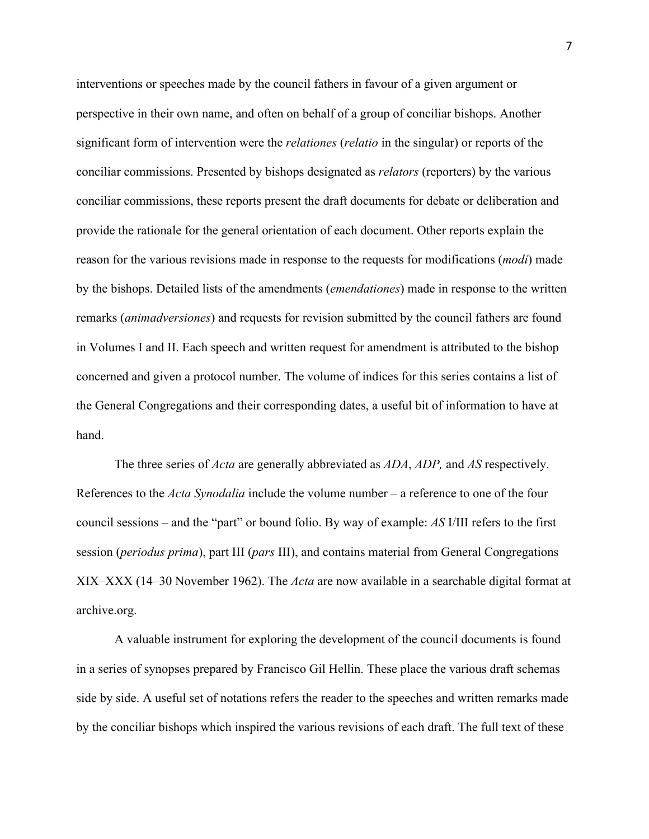interventions or speeches made by the council fathers in favour of a given argument or perspective in their own name, and often on behalf of a group of conciliar bishops. Another significant form of intervention were the *relationes* (*relatio* in the singular) or reports of the conciliar commissions. Presented by bishops designated as *relators* (reporters) by the various conciliar commissions, these reports present the draft documents for debate or deliberation and provide the rationale for the general orientation of each document. Other reports explain the reason for the various revisions made in response to the requests for modifications (*modi*) made by the bishops. Detailed lists of the amendments (*emendationes*) made in response to the written remarks (*animadversiones*) and requests for revision submitted by the council fathers are found in Volumes I and II. Each speech and written request for amendment is attributed to the bishop concerned and given a protocol number. The volume of indices for this series contains a list of the General Congregations and their corresponding dates, a useful bit of information to have at hand.

The three series of *Acta* are generally abbreviated as *ADA*, *ADP,* and *AS* respectively. References to the *Acta Synodalia* include the volume number – a reference to one of the four council sessions – and the "part" or bound folio. By way of example: *AS* I/III refers to the first session (*periodus prima*), part III (*pars* III), and contains material from General Congregations XIX–XXX (14–30 November 1962). The *Acta* are now available in a searchable digital format at archive.org.

A valuable instrument for exploring the development of the council documents is found in a series of synopses prepared by Francisco Gil Hellin. These place the various draft schemas side by side. A useful set of notations refers the reader to the speeches and written remarks made by the conciliar bishops which inspired the various revisions of each draft. The full text of these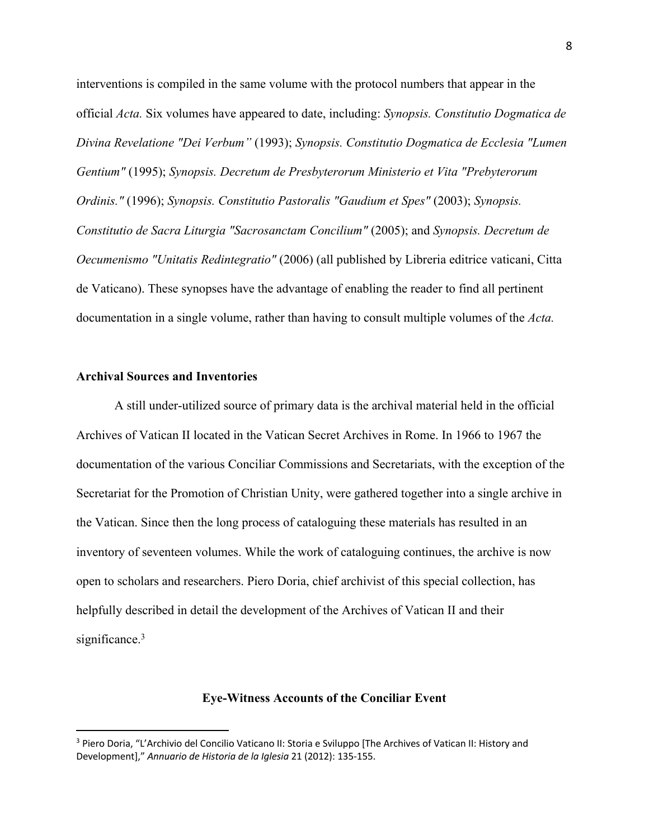interventions is compiled in the same volume with the protocol numbers that appear in the official *Acta.* Six volumes have appeared to date, including: *Synopsis. Constitutio Dogmatica de Divina Revelatione "Dei Verbum"* (1993); *Synopsis. Constitutio Dogmatica de Ecclesia "Lumen Gentium"* (1995); *Synopsis. Decretum de Presbyterorum Ministerio et Vita "Prebyterorum Ordinis."* (1996); *Synopsis. Constitutio Pastoralis "Gaudium et Spes"* (2003); *Synopsis. Constitutio de Sacra Liturgia "Sacrosanctam Concilium"* (2005); and *Synopsis. Decretum de Oecumenismo "Unitatis Redintegratio"* (2006) (all published by Libreria editrice vaticani, Citta de Vaticano). These synopses have the advantage of enabling the reader to find all pertinent documentation in a single volume, rather than having to consult multiple volumes of the *Acta.*

### **Archival Sources and Inventories**

A still under-utilized source of primary data is the archival material held in the official Archives of Vatican II located in the Vatican Secret Archives in Rome. In 1966 to 1967 the documentation of the various Conciliar Commissions and Secretariats, with the exception of the Secretariat for the Promotion of Christian Unity, were gathered together into a single archive in the Vatican. Since then the long process of cataloguing these materials has resulted in an inventory of seventeen volumes. While the work of cataloguing continues, the archive is now open to scholars and researchers. Piero Doria, chief archivist of this special collection, has helpfully described in detail the development of the Archives of Vatican II and their significance.<sup>3</sup>

## **Eye-Witness Accounts of the Conciliar Event**

<sup>3</sup> Piero Doria, "L'Archivio del Concilio Vaticano II: Storia e Sviluppo [The Archives of Vatican II: History and Development]," *Annuario de Historia de la Iglesia* 21 (2012): 135-155.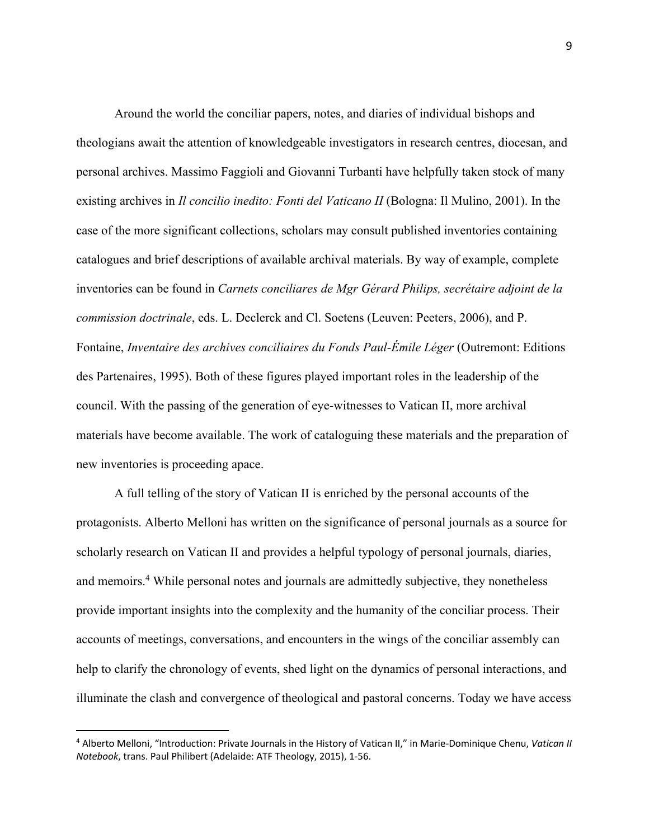Around the world the conciliar papers, notes, and diaries of individual bishops and theologians await the attention of knowledgeable investigators in research centres, diocesan, and personal archives. Massimo Faggioli and Giovanni Turbanti have helpfully taken stock of many existing archives in *Il concilio inedito: Fonti del Vaticano II* (Bologna: Il Mulino, 2001). In the case of the more significant collections, scholars may consult published inventories containing catalogues and brief descriptions of available archival materials. By way of example, complete inventories can be found in *Carnets conciliares de Mgr Gérard Philips, secrétaire adjoint de la commission doctrinale*, eds. L. Declerck and Cl. Soetens (Leuven: Peeters, 2006), and P. Fontaine, *Inventaire des archives conciliaires du Fonds Paul-Émile Léger* (Outremont: Editions des Partenaires, 1995). Both of these figures played important roles in the leadership of the council. With the passing of the generation of eye-witnesses to Vatican II, more archival materials have become available. The work of cataloguing these materials and the preparation of new inventories is proceeding apace.

A full telling of the story of Vatican II is enriched by the personal accounts of the protagonists. Alberto Melloni has written on the significance of personal journals as a source for scholarly research on Vatican II and provides a helpful typology of personal journals, diaries, and memoirs.4 While personal notes and journals are admittedly subjective, they nonetheless provide important insights into the complexity and the humanity of the conciliar process. Their accounts of meetings, conversations, and encounters in the wings of the conciliar assembly can help to clarify the chronology of events, shed light on the dynamics of personal interactions, and illuminate the clash and convergence of theological and pastoral concerns. Today we have access

<sup>4</sup> Alberto Melloni, "Introduction: Private Journals in the History of Vatican II," in Marie-Dominique Chenu, *Vatican II Notebook*, trans. Paul Philibert (Adelaide: ATF Theology, 2015), 1-56.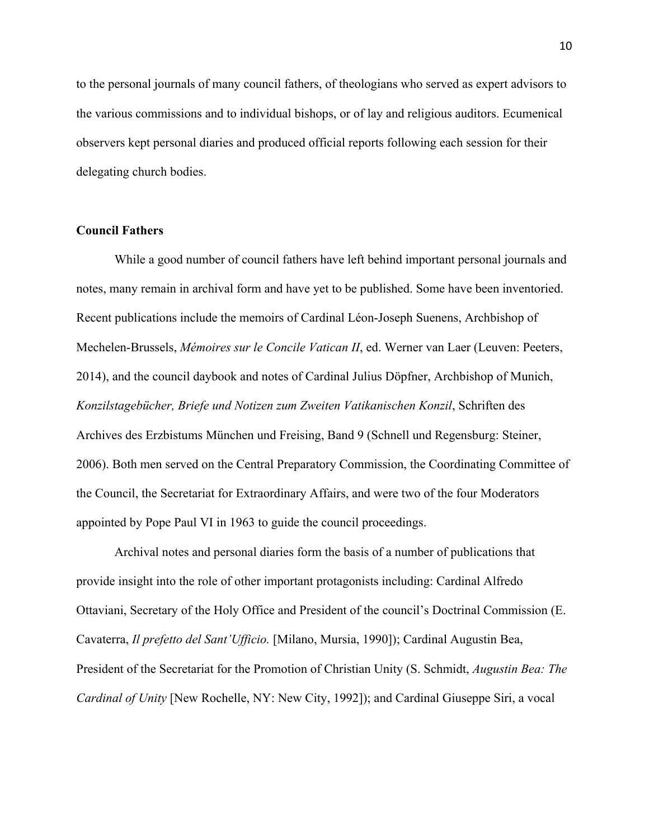to the personal journals of many council fathers, of theologians who served as expert advisors to the various commissions and to individual bishops, or of lay and religious auditors. Ecumenical observers kept personal diaries and produced official reports following each session for their delegating church bodies.

# **Council Fathers**

While a good number of council fathers have left behind important personal journals and notes, many remain in archival form and have yet to be published. Some have been inventoried. Recent publications include the memoirs of Cardinal Léon-Joseph Suenens, Archbishop of Mechelen-Brussels, *Mémoires sur le Concile Vatican II*, ed. Werner van Laer (Leuven: Peeters, 2014), and the council daybook and notes of Cardinal Julius Döpfner, Archbishop of Munich, *Konzilstagebücher, Briefe und Notizen zum Zweiten Vatikanischen Konzil*, Schriften des Archives des Erzbistums München und Freising, Band 9 (Schnell und Regensburg: Steiner, 2006). Both men served on the Central Preparatory Commission, the Coordinating Committee of the Council, the Secretariat for Extraordinary Affairs, and were two of the four Moderators appointed by Pope Paul VI in 1963 to guide the council proceedings.

Archival notes and personal diaries form the basis of a number of publications that provide insight into the role of other important protagonists including: Cardinal Alfredo Ottaviani, Secretary of the Holy Office and President of the council's Doctrinal Commission (E. Cavaterra, *Il prefetto del Sant'Ufficio.* [Milano, Mursia, 1990]); Cardinal Augustin Bea, President of the Secretariat for the Promotion of Christian Unity (S. Schmidt, *Augustin Bea: The Cardinal of Unity* [New Rochelle, NY: New City, 1992]); and Cardinal Giuseppe Siri, a vocal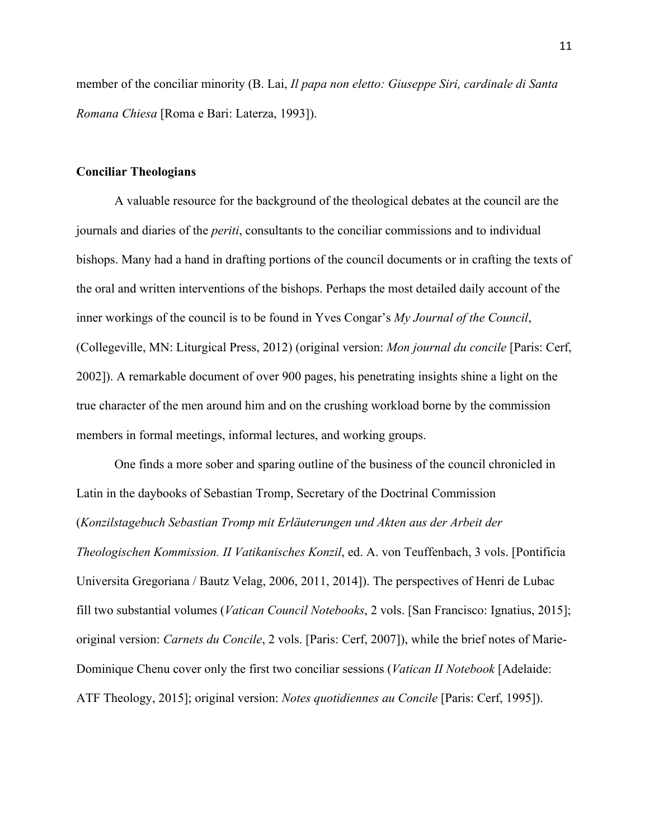member of the conciliar minority (B. Lai, *Il papa non eletto: Giuseppe Siri, cardinale di Santa Romana Chiesa* [Roma e Bari: Laterza, 1993]).

### **Conciliar Theologians**

A valuable resource for the background of the theological debates at the council are the journals and diaries of the *periti*, consultants to the conciliar commissions and to individual bishops. Many had a hand in drafting portions of the council documents or in crafting the texts of the oral and written interventions of the bishops. Perhaps the most detailed daily account of the inner workings of the council is to be found in Yves Congar's *My Journal of the Council*, (Collegeville, MN: Liturgical Press, 2012) (original version: *Mon journal du concile* [Paris: Cerf, 2002]). A remarkable document of over 900 pages, his penetrating insights shine a light on the true character of the men around him and on the crushing workload borne by the commission members in formal meetings, informal lectures, and working groups.

One finds a more sober and sparing outline of the business of the council chronicled in Latin in the daybooks of Sebastian Tromp, Secretary of the Doctrinal Commission (*Konzilstagebuch Sebastian Tromp mit Erläuterungen und Akten aus der Arbeit der Theologischen Kommission. II Vatikanisches Konzil*, ed. A. von Teuffenbach, 3 vols. [Pontificia Universita Gregoriana / Bautz Velag, 2006, 2011, 2014]). The perspectives of Henri de Lubac fill two substantial volumes (*Vatican Council Notebooks*, 2 vols. [San Francisco: Ignatius, 2015]; original version: *Carnets du Concile*, 2 vols. [Paris: Cerf, 2007]), while the brief notes of Marie-Dominique Chenu cover only the first two conciliar sessions (*Vatican II Notebook* [Adelaide: ATF Theology, 2015]; original version: *Notes quotidiennes au Concile* [Paris: Cerf, 1995]).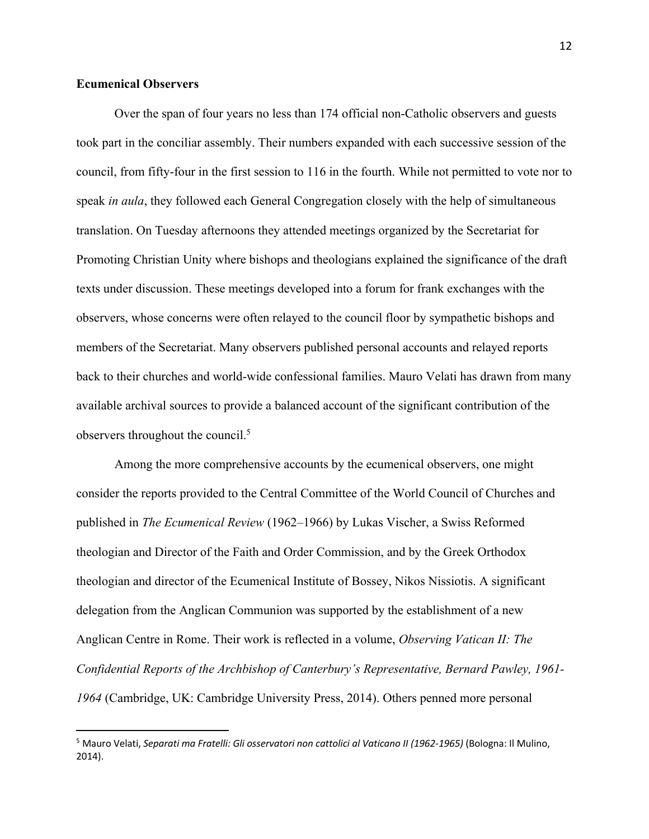# **Ecumenical Observers**

Over the span of four years no less than 174 official non-Catholic observers and guests took part in the conciliar assembly. Their numbers expanded with each successive session of the council, from fifty-four in the first session to 116 in the fourth. While not permitted to vote nor to speak *in aula*, they followed each General Congregation closely with the help of simultaneous translation. On Tuesday afternoons they attended meetings organized by the Secretariat for Promoting Christian Unity where bishops and theologians explained the significance of the draft texts under discussion. These meetings developed into a forum for frank exchanges with the observers, whose concerns were often relayed to the council floor by sympathetic bishops and members of the Secretariat. Many observers published personal accounts and relayed reports back to their churches and world-wide confessional families. Mauro Velati has drawn from many available archival sources to provide a balanced account of the significant contribution of the observers throughout the council.<sup>5</sup>

Among the more comprehensive accounts by the ecumenical observers, one might consider the reports provided to the Central Committee of the World Council of Churches and published in *The Ecumenical Review* (1962–1966) by Lukas Vischer, a Swiss Reformed theologian and Director of the Faith and Order Commission, and by the Greek Orthodox theologian and director of the Ecumenical Institute of Bossey, Nikos Nissiotis. A significant delegation from the Anglican Communion was supported by the establishment of a new Anglican Centre in Rome. Their work is reflected in a volume, *Observing Vatican II: The Confidential Reports of the Archbishop of Canterbury's Representative, Bernard Pawley, 1961- 1964* (Cambridge, UK: Cambridge University Press, 2014). Others penned more personal

<sup>5</sup> Mauro Velati, *Separati ma Fratelli: Gli osservatori non cattolici al Vaticano II (1962-1965)* (Bologna: Il Mulino, 2014).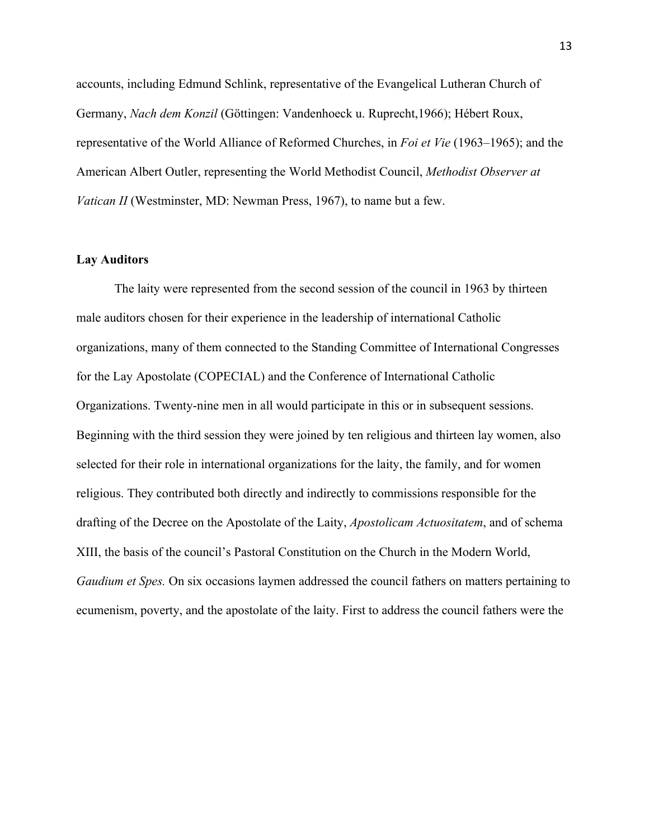accounts, including Edmund Schlink, representative of the Evangelical Lutheran Church of Germany, *Nach dem Konzil* (Göttingen: Vandenhoeck u. Ruprecht,1966); Hébert Roux, representative of the World Alliance of Reformed Churches, in *Foi et Vie* (1963–1965); and the American Albert Outler, representing the World Methodist Council, *Methodist Observer at Vatican II* (Westminster, MD: Newman Press, 1967), to name but a few.

#### **Lay Auditors**

The laity were represented from the second session of the council in 1963 by thirteen male auditors chosen for their experience in the leadership of international Catholic organizations, many of them connected to the Standing Committee of International Congresses for the Lay Apostolate (COPECIAL) and the Conference of International Catholic Organizations. Twenty-nine men in all would participate in this or in subsequent sessions. Beginning with the third session they were joined by ten religious and thirteen lay women, also selected for their role in international organizations for the laity, the family, and for women religious. They contributed both directly and indirectly to commissions responsible for the drafting of the Decree on the Apostolate of the Laity, *Apostolicam Actuositatem*, and of schema XIII, the basis of the council's Pastoral Constitution on the Church in the Modern World, *Gaudium et Spes.* On six occasions laymen addressed the council fathers on matters pertaining to ecumenism, poverty, and the apostolate of the laity. First to address the council fathers were the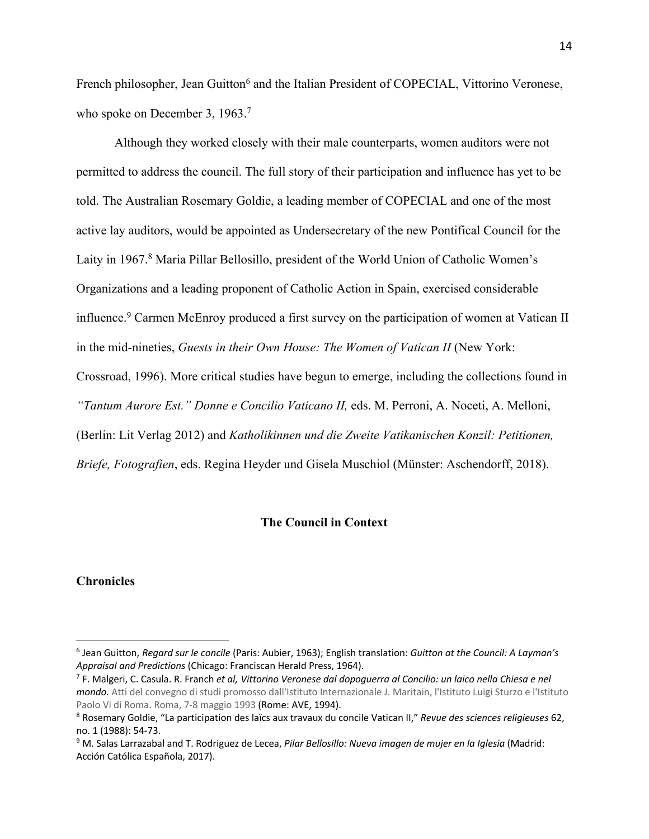French philosopher, Jean Guitton<sup>6</sup> and the Italian President of COPECIAL, Vittorino Veronese, who spoke on December 3, 1963.<sup>7</sup>

Although they worked closely with their male counterparts, women auditors were not permitted to address the council. The full story of their participation and influence has yet to be told. The Australian Rosemary Goldie, a leading member of COPECIAL and one of the most active lay auditors, would be appointed as Undersecretary of the new Pontifical Council for the Laity in 1967. <sup>8</sup> Maria Pillar Bellosillo, president of the World Union of Catholic Women's Organizations and a leading proponent of Catholic Action in Spain, exercised considerable influence. <sup>9</sup> Carmen McEnroy produced a first survey on the participation of women at Vatican II in the mid-nineties, *Guests in their Own House: The Women of Vatican II* (New York: Crossroad, 1996). More critical studies have begun to emerge, including the collections found in *"Tantum Aurore Est." Donne e Concilio Vaticano II,* eds. M. Perroni, A. Noceti, A. Melloni,

(Berlin: Lit Verlag 2012) and *Katholikinnen und die Zweite Vatikanischen Konzil: Petitionen, Briefe, Fotografien*, eds. Regina Heyder und Gisela Muschiol (Münster: Aschendorff, 2018).

# **The Council in Context**

### **Chronicles**

<sup>6</sup> Jean Guitton, *Regard sur le concile* (Paris: Aubier, 1963); English translation: *Guitton at the Council: A Layman's Appraisal and Predictions* (Chicago: Franciscan Herald Press, 1964).

<sup>7</sup> F. Malgeri, C. Casula. R. Franch *et al, Vittorino Veronese dal dopoguerra al Concilio: un laico nella Chiesa e nel mondo.* Atti del convegno di studi promosso dall'Istituto Internazionale J. Maritain, l'Istituto Luigi Sturzo e l'Istituto Paolo Vi di Roma. Roma, 7-8 maggio 1993 (Rome: AVE, 1994).

<sup>8</sup> Rosemary Goldie, "La participation des laïcs aux travaux du concile Vatican II," *Revue des sciences religieuses* 62, no. 1 (1988): 54-73.

<sup>9</sup> M. Salas Larrazabal and T. Rodriguez de Lecea, *Pilar Bellosillo: Nueva imagen de mujer en la Iglesia* (Madrid: Acción Católica Española, 2017).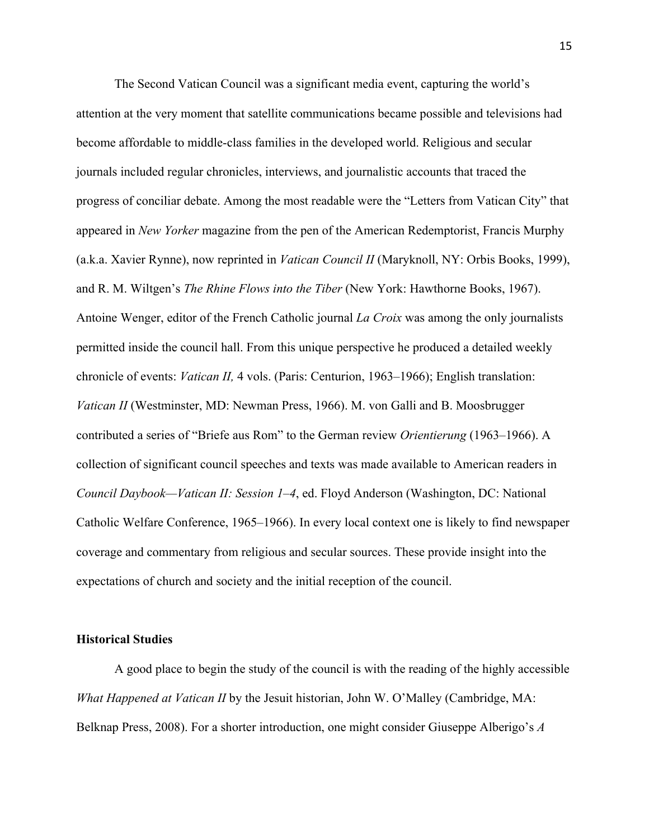The Second Vatican Council was a significant media event, capturing the world's attention at the very moment that satellite communications became possible and televisions had become affordable to middle-class families in the developed world. Religious and secular journals included regular chronicles, interviews, and journalistic accounts that traced the progress of conciliar debate. Among the most readable were the "Letters from Vatican City" that appeared in *New Yorker* magazine from the pen of the American Redemptorist, Francis Murphy (a.k.a. Xavier Rynne), now reprinted in *Vatican Council II* (Maryknoll, NY: Orbis Books, 1999), and R. M. Wiltgen's *The Rhine Flows into the Tiber* (New York: Hawthorne Books, 1967). Antoine Wenger, editor of the French Catholic journal *La Croix* was among the only journalists permitted inside the council hall. From this unique perspective he produced a detailed weekly chronicle of events: *Vatican II,* 4 vols. (Paris: Centurion, 1963–1966); English translation: *Vatican II* (Westminster, MD: Newman Press, 1966). M. von Galli and B. Moosbrugger contributed a series of "Briefe aus Rom" to the German review *Orientierung* (1963–1966). A collection of significant council speeches and texts was made available to American readers in *Council Daybook—Vatican II: Session 1–4*, ed. Floyd Anderson (Washington, DC: National Catholic Welfare Conference, 1965–1966). In every local context one is likely to find newspaper coverage and commentary from religious and secular sources. These provide insight into the expectations of church and society and the initial reception of the council.

### **Historical Studies**

A good place to begin the study of the council is with the reading of the highly accessible *What Happened at Vatican II* by the Jesuit historian, John W. O'Malley (Cambridge, MA: Belknap Press, 2008). For a shorter introduction, one might consider Giuseppe Alberigo's *A*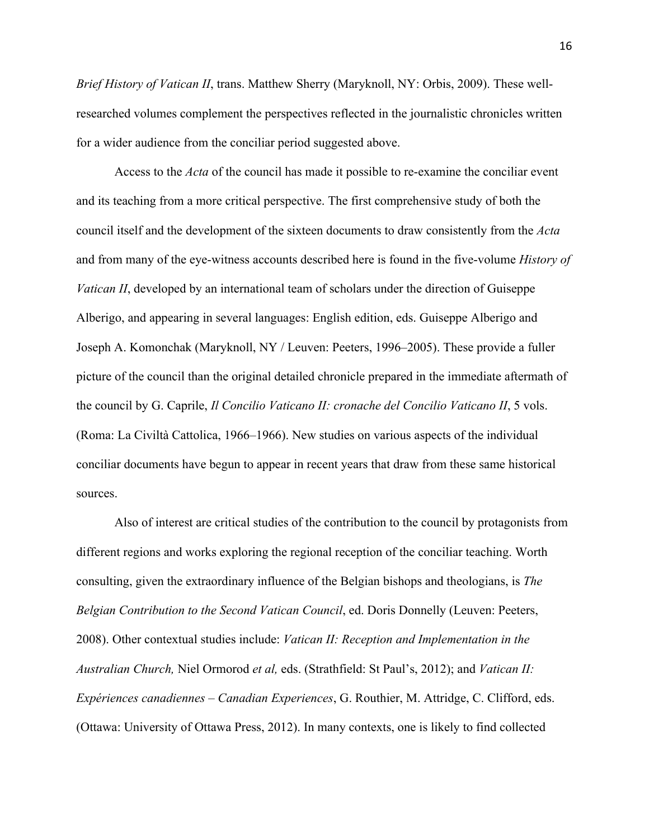*Brief History of Vatican II*, trans. Matthew Sherry (Maryknoll, NY: Orbis, 2009). These wellresearched volumes complement the perspectives reflected in the journalistic chronicles written for a wider audience from the conciliar period suggested above.

Access to the *Acta* of the council has made it possible to re-examine the conciliar event and its teaching from a more critical perspective. The first comprehensive study of both the council itself and the development of the sixteen documents to draw consistently from the *Acta*  and from many of the eye-witness accounts described here is found in the five-volume *History of Vatican II*, developed by an international team of scholars under the direction of Guiseppe Alberigo, and appearing in several languages: English edition, eds. Guiseppe Alberigo and Joseph A. Komonchak (Maryknoll, NY / Leuven: Peeters, 1996–2005). These provide a fuller picture of the council than the original detailed chronicle prepared in the immediate aftermath of the council by G. Caprile, *Il Concilio Vaticano II: cronache del Concilio Vaticano II*, 5 vols. (Roma: La Civiltà Cattolica, 1966–1966). New studies on various aspects of the individual conciliar documents have begun to appear in recent years that draw from these same historical sources.

Also of interest are critical studies of the contribution to the council by protagonists from different regions and works exploring the regional reception of the conciliar teaching. Worth consulting, given the extraordinary influence of the Belgian bishops and theologians, is *The Belgian Contribution to the Second Vatican Council*, ed. Doris Donnelly (Leuven: Peeters, 2008). Other contextual studies include: *Vatican II: Reception and Implementation in the Australian Church,* Niel Ormorod *et al,* eds. (Strathfield: St Paul's, 2012); and *Vatican II: Expériences canadiennes – Canadian Experiences*, G. Routhier, M. Attridge, C. Clifford, eds. (Ottawa: University of Ottawa Press, 2012). In many contexts, one is likely to find collected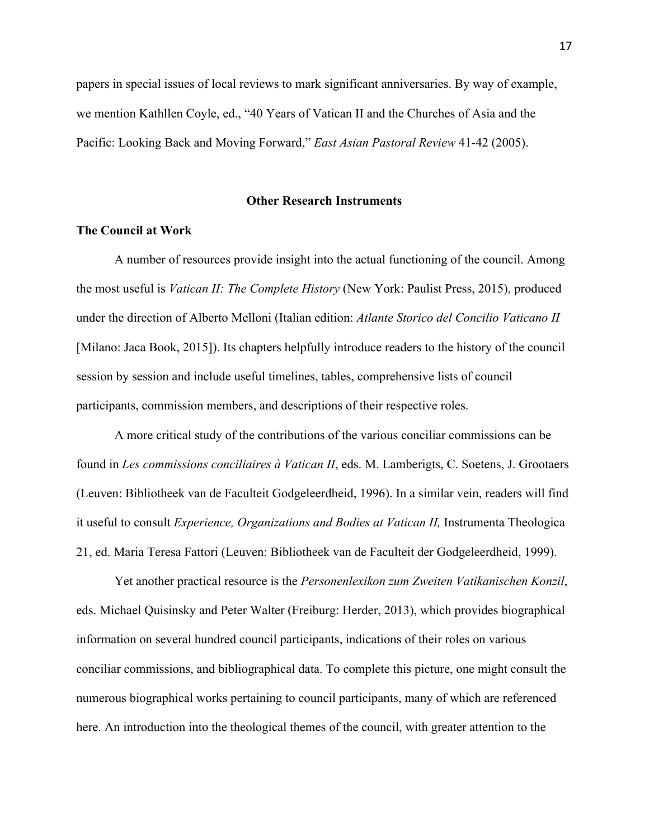papers in special issues of local reviews to mark significant anniversaries. By way of example, we mention Kathllen Coyle, ed., "40 Years of Vatican II and the Churches of Asia and the Pacific: Looking Back and Moving Forward," *East Asian Pastoral Review* 41-42 (2005).

#### **Other Research Instruments**

### **The Council at Work**

A number of resources provide insight into the actual functioning of the council. Among the most useful is *Vatican II: The Complete History* (New York: Paulist Press, 2015), produced under the direction of Alberto Melloni (Italian edition: *Atlante Storico del Concilio Vaticano II* [Milano: Jaca Book, 2015]). Its chapters helpfully introduce readers to the history of the council session by session and include useful timelines, tables, comprehensive lists of council participants, commission members, and descriptions of their respective roles.

A more critical study of the contributions of the various conciliar commissions can be found in *Les commissions conciliaires à Vatican II*, eds. M. Lamberigts, C. Soetens, J. Grootaers (Leuven: Bibliotheek van de Faculteit Godgeleerdheid, 1996). In a similar vein, readers will find it useful to consult *Experience, Organizations and Bodies at Vatican II,* Instrumenta Theologica 21, ed. Maria Teresa Fattori (Leuven: Bibliotheek van de Faculteit der Godgeleerdheid, 1999).

Yet another practical resource is the *Personenlexikon zum Zweiten Vatikanischen Konzil*, eds. Michael Quisinsky and Peter Walter (Freiburg: Herder, 2013), which provides biographical information on several hundred council participants, indications of their roles on various conciliar commissions, and bibliographical data. To complete this picture, one might consult the numerous biographical works pertaining to council participants, many of which are referenced here. An introduction into the theological themes of the council, with greater attention to the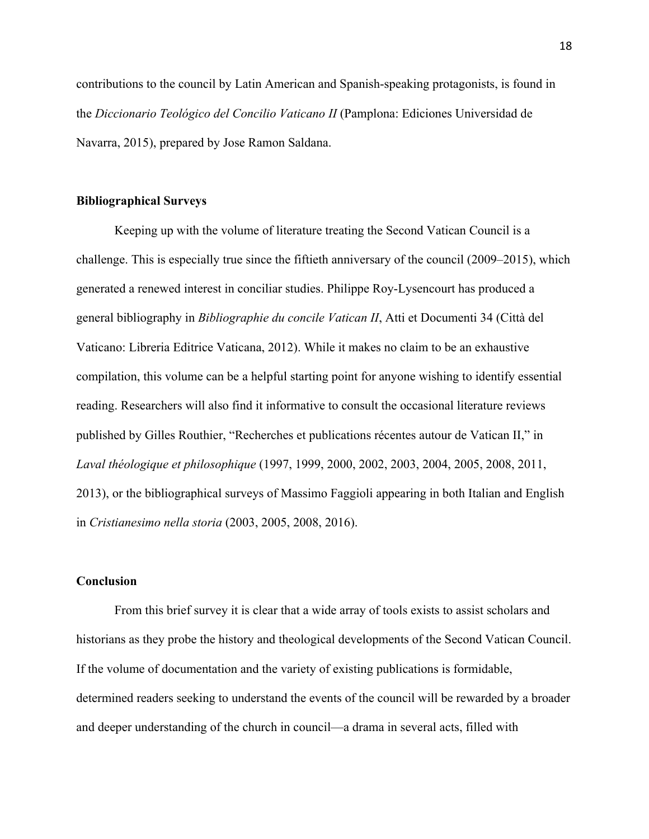contributions to the council by Latin American and Spanish-speaking protagonists, is found in the *Diccionario Teológico del Concilio Vaticano II* (Pamplona: Ediciones Universidad de Navarra, 2015), prepared by Jose Ramon Saldana.

#### **Bibliographical Surveys**

Keeping up with the volume of literature treating the Second Vatican Council is a challenge. This is especially true since the fiftieth anniversary of the council (2009–2015), which generated a renewed interest in conciliar studies. Philippe Roy-Lysencourt has produced a general bibliography in *Bibliographie du concile Vatican II*, Atti et Documenti 34 (Città del Vaticano: Libreria Editrice Vaticana, 2012). While it makes no claim to be an exhaustive compilation, this volume can be a helpful starting point for anyone wishing to identify essential reading. Researchers will also find it informative to consult the occasional literature reviews published by Gilles Routhier, "Recherches et publications récentes autour de Vatican II," in *Laval théologique et philosophique* (1997, 1999, 2000, 2002, 2003, 2004, 2005, 2008, 2011, 2013), or the bibliographical surveys of Massimo Faggioli appearing in both Italian and English in *Cristianesimo nella storia* (2003, 2005, 2008, 2016).

# **Conclusion**

From this brief survey it is clear that a wide array of tools exists to assist scholars and historians as they probe the history and theological developments of the Second Vatican Council. If the volume of documentation and the variety of existing publications is formidable, determined readers seeking to understand the events of the council will be rewarded by a broader and deeper understanding of the church in council—a drama in several acts, filled with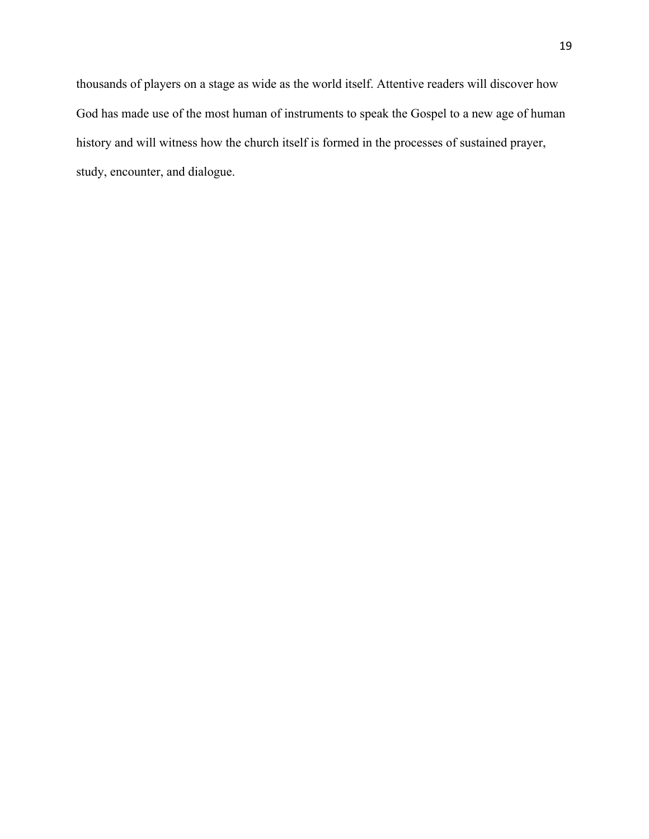thousands of players on a stage as wide as the world itself. Attentive readers will discover how God has made use of the most human of instruments to speak the Gospel to a new age of human history and will witness how the church itself is formed in the processes of sustained prayer, study, encounter, and dialogue.